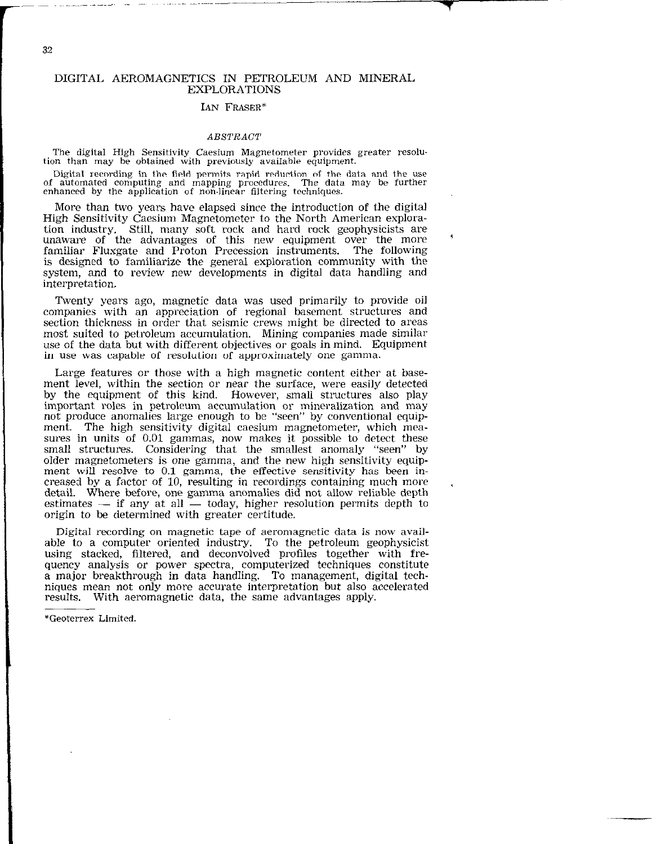### DIGITAL AEROMAGNETICS IN PETROLEUM AND MINERAL EXPLORATIONS

#### IAN FRASER\*

#### ABSTRACT

The digital High Sensitivity Caesium Magnetometer provides greater resolution than may be obtained with previously available equipment.

Digital recording in the field permits rapid reduction of the data and the use of automated computing and mapping procedures. The data may be furthe enhanced by the application of non-linear filtering techniques.

More than two years have elapsed since the introduction of the digital High Sensitivity Caesium Magnetometer to the North American exploration industry. Still, many soft rock and hard rock geophysicists are unaware of the advantages of this new equipment over the more familiar Fluxgate and Proton Precession instruments. The following is designed to familiarize the general exploration community with the system, and to review new developments in digital data handling and interpretation.

Twenty years ago, magnetic data was used primarily to provide oil companies with an appreciation of regional basement structures and section thickness in order that seismic crews might be directed to areas most suited to petroleum accumulation. Mining companies made similar use of the data but with different objectives or goals in mind. Equipment in use was capable of resolution of approximately one gamma.

Large features or those with a high magnetic content either at basement level, within the section or near the surface, were easily detected by the equipment of this kind. However, small structures also play important roles in petroleum accumulation or mineralization and may not produce anomalies large enough to be "seen" by conventional equipment. The high sensitivity digital caesium magnetometer, which measures in units of 0.01 gammas, now makes it possible to detect these small structures. Considering that the smallest anomaly "seen" by older magnetometers is one gamma, and the new high sensitivity equipment will resolve to 0.1 gamma, the effective sensitivity has been increased by a factor of 10, resulting in recordings containing much more . detail. Where before, one gamma anomalies did not allow reliable depth estimates  $-$  if any at all  $-$  today, higher resolution permits depth to origin to be determined with greater certitude.

Digital recording on magnetic tape of aeromagnetic data is now available to a computer oriented industry. To the petroleum geophysicist using stacked, filtered, and deconvolved profiles together with frequency analysis or power spectra, computerized techniques constitute a major breakthrough in data handling. To management, digital techniques mean not only more accurate interpretation but also accelerated results. With aeromagnetic data, the same advantages apply.

\*Geoterrex Limited.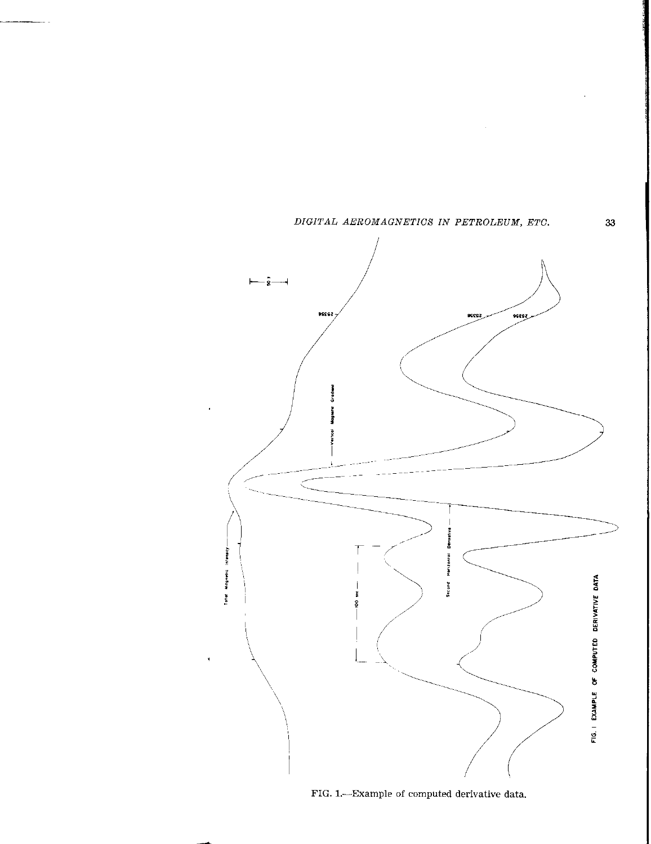

FIG. l.-Example of computed derivative data.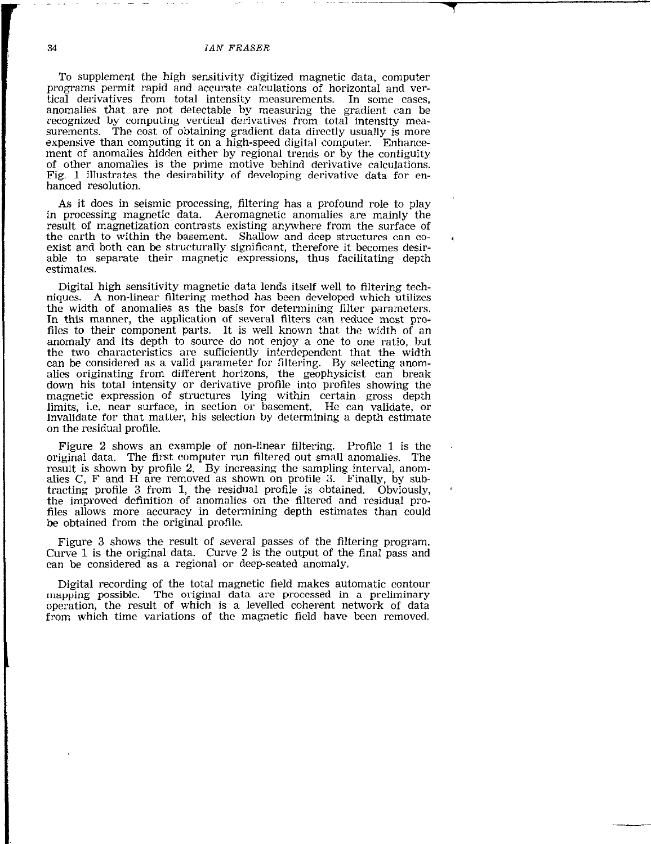#### 34 IAN FRASER

r and the second contract of the second contract of the second contract of the second contract of the second c<br>The second contract of the second contract of the second contract of the second contract of the second contract

To supplement the high sensitivity digitized magnetic data, computer programs permit rapid and accurate calculations of horizontal and vertical derivatives from total intensity measurements. In some cases, anomalies that are not detectable by measuring the gradient can be recognized by computing vertical derivatives from total intensity measurements. The cost of obtaining gradient data directly usually is more expensive than computing it on a high-speed digital computer. Enhancement of anomalies hidden either by regional trends or by the contiguity of other anomalies is the prime motive behind derivative calculations. Fig. 1 illustrates the desirability of developing derivative data for enhanced resolution.

As it does in seismic processing, filtering has a profound role to play in processing magnetic data. Aeromagnetic anomalies are mainly the result of magnetization contrasts existing anywhere from the surface of the earth to within the basement. Shallow and deep structures can coexist and both can be structurally significant, therefore it becomes desirable to separate their magnetic expressions, thus facilitating depth estimates.

Digital high sensitivity magnetic data lends itself well to filtering techniques. A non-linear filtering method has been developed which utilizes the width of anomalies as the basis for determining filter parameters. In this manner, the application of several filters can reduce most profiles to their component parts. It is well known that the width of an anomaly and its depth to source do not enjoy a one to one ratio, but the two characteristics are sufficiently interdependent that the width can be considered as a valid parameter for filtering, By selecting anomalies originating from different horizons, the geophysicist can break down his total intensity or derivative profile into profiles showing the magnetic expression of structures lying within certain gross depth limits, i.e. near surface, in section or basement. He can validate, or invalidate for that matter, his selection by determining a depth estimate on the residual profile.

Figure 2 shows an example of non-linear filtering. Profile 1 is the original data. The first computer run filtered out small anomalies. The result is shown by profile 2. By increasing the sampling interval, anomalies C, F and H are removed as shown on profile 3. Finally, by subtracting profile 3 from 1, the residual profile is obtained. Obviously, the improved definition of anomalies on the filtered and residual profiles allows more accuracy in determining depth estimates than could be obtained from the original profile.

Figure 3 shows the result of several passes of the filtering program. Curve 1 is the original data. Curve 2 is the output of the final pass and can be considered as a regional or deep-seated anomaly.

Digital recording of the total magnetic field makes automatic contour mapping possible. The original data are processed in a preliminary operation, the result of which is a levelled coherent network of data from which time variations of the magnetic field have been removed.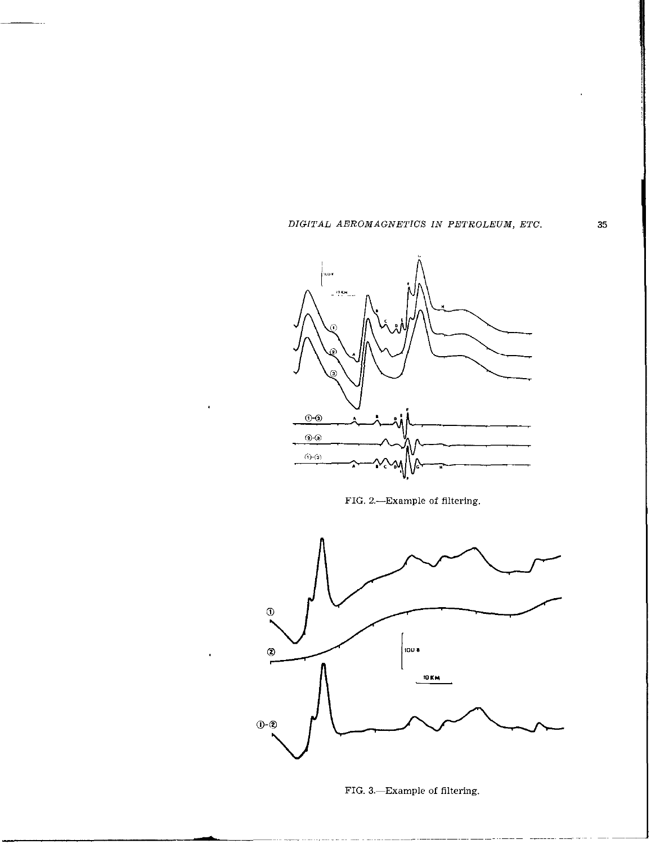...



FIG. 2.-Example of filtering.



FIG. 3.-Example of filtering.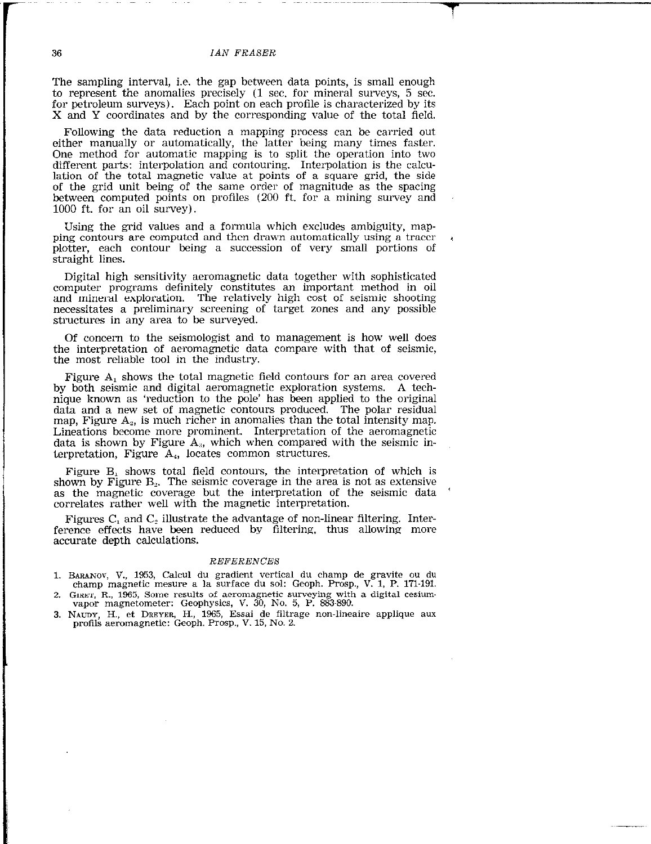#### 36 IAN FRASER

The sampling interval, i.e. the gap between data points, is small enough to represent the anomalies precisely (1 sec. for mineral surveys, 5 sec. for petroleum surveys). Each point on each profile is characterized by its X and Y coordinates and by the corresponding value of the total field.

Following the data reduction a mapping process can be carried out either manually or automatically, the latter being many times faster. One method for automatic mapping is to split the operation into two different parts: interpolation and contouring. Interpolation is the calculation of the total magnetic value at points of a square grid, the side of the grid unit being of the same order of magnitude as the spacing between computed points on profiles (200 ft. for a mining survey and 1000 ft. for an oil survey).

'Using the grid values and a formula which excludes ambiguity, mapping contours are computed and then drawn automatically using a tracer plotter, each contour being a succession of very small portions of straight lines.

Digital high sensitivity aeromagnetic data together with sophisticated computer programs definitely constitutes an important method in oil and mineral exploration. The relatively high cost of seismic shooting necessitates a preliminary screening of target zones and any possible structures in any area to be surveyed.

Of concern to the seismologist and to management is how well does the interpretation of aeromagnetic data compare with that of seismic, the most reliable tool in the industry.

Figure A, shows the total magnetic field contours for an area covered by both seismic and digital aeromagnetic exploration systems. A technique known as 'reduction to the pole' has been applied to the original data and a new set of magnetic contours produced. The polar residual map, Figure  $A_2$ , is much richer in anomalies than the total intensity map. Lineations become more prominent. Interpretation of the aeromagnetic data is shown by Figure  $A_{3}$ , which when compared with the seismic interpretation, Figure  $A_4$ , locates common structures.

Figure  $B_1$  shows total field contours, the interpretation of which is shown by Figure  $B_2$ . The seismic coverage in the area is not as extensive as the magnetic coverage but the interpretation of the seismic data ' correlates rather well with the magnetic interpretation.

Figures  $C_1$  and  $C_2$  illustrate the advantage of non-linear filtering. Interference effects have been reduced by filtering, thus allowing more accurate depth calculations.

#### REFERENCES

- 1. BAIUNOY, V., 1953, Calcul du gradient vertical du champ de gravite ou du champ magnetic mesure a la surface du sol: Geoph. Prosp., V. 1, P. 171.191. 2. GIRET, FL, 1965, Some results of aeromagnetic surveying with a digital cesium.
- vapor magnetometer: Geophysics, V. 30, No. 5, P. 883-890.
- 3. NAUDY, H., et DREYER, H., 1965, Essai de filtrage non-lineaire applique au profils aeromagnetic: Geoph. Prosp., V. 15, No. 2.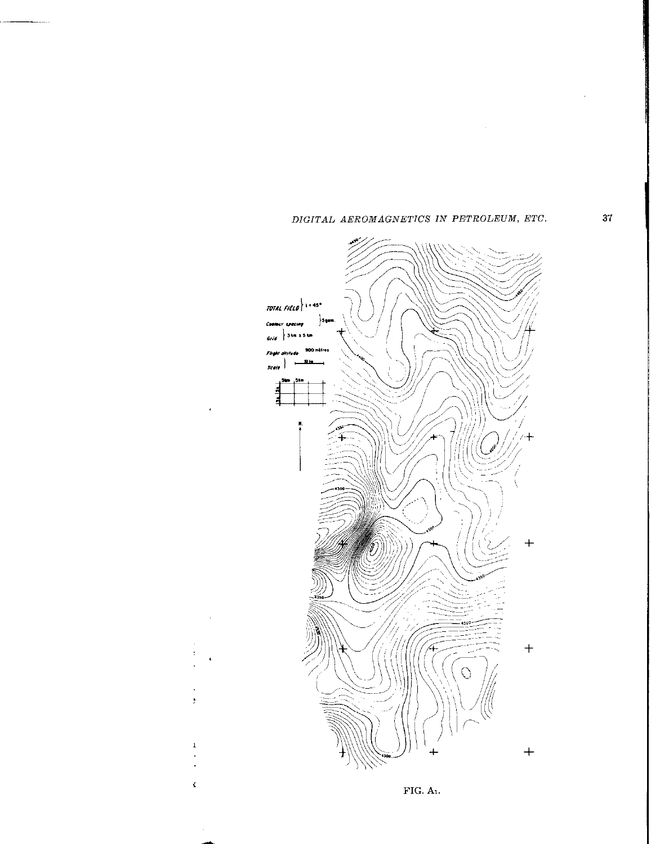

þ

 $\mathbf 1$ 

 $\zeta$ 

 $\sim$ 

 $FIG. A<sub>1</sub>.$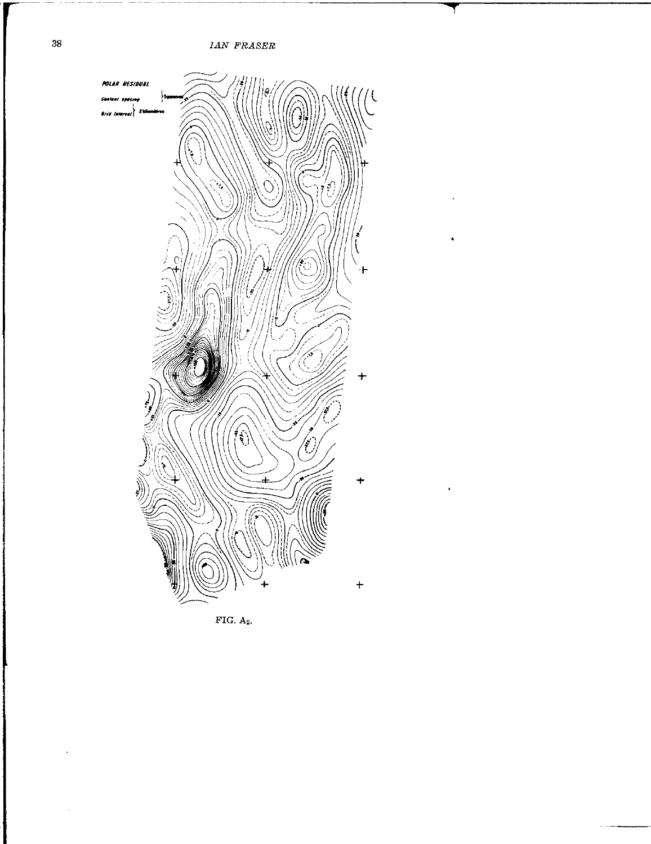IAN FRASER



FIG.  $A_2$ .

 $\cdot$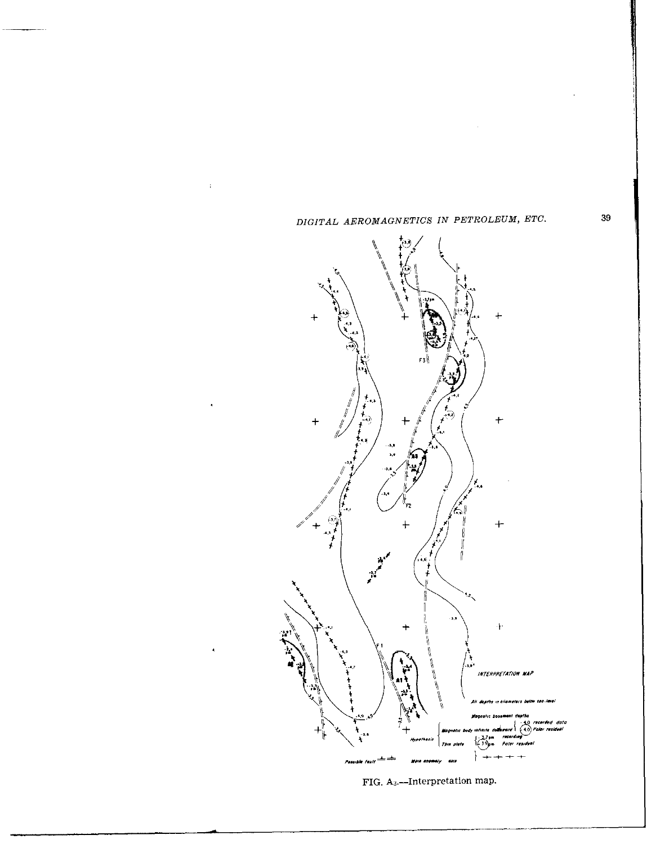

 $\frac{1}{2}$ 

l,

FIG. A<sub>3</sub>.--Interpretation map.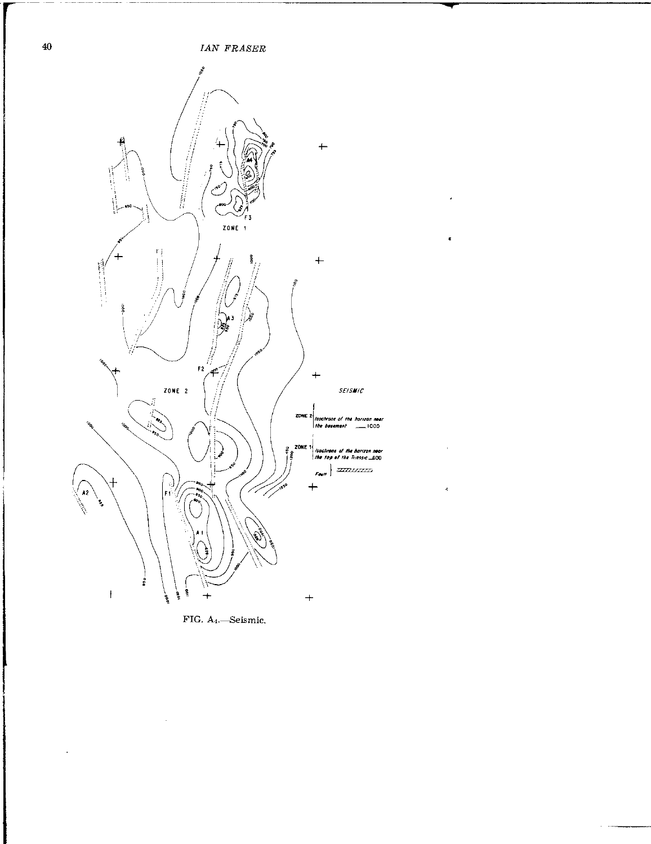

 $\overline{\phantom{a}}$ 

 $\epsilon$ 

 $\epsilon$ 

 $\hat{\mathbf{z}}$ 

 $\ddot{\phantom{a}}$ 

FIG. A<sub>4</sub>.-Seismic.

 $\bar{\mathcal{A}}$ 

 $\sim$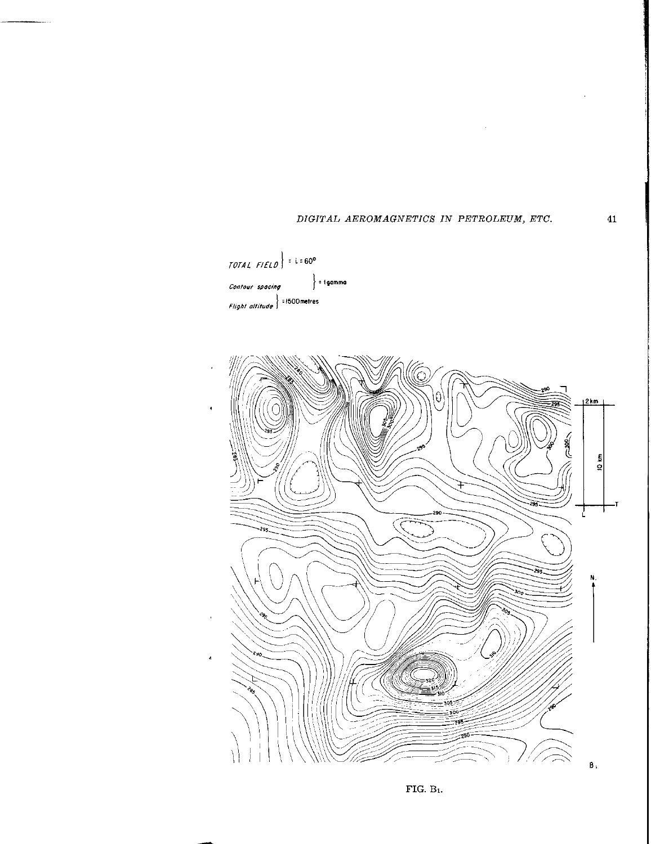



FIG.  $B_1$ .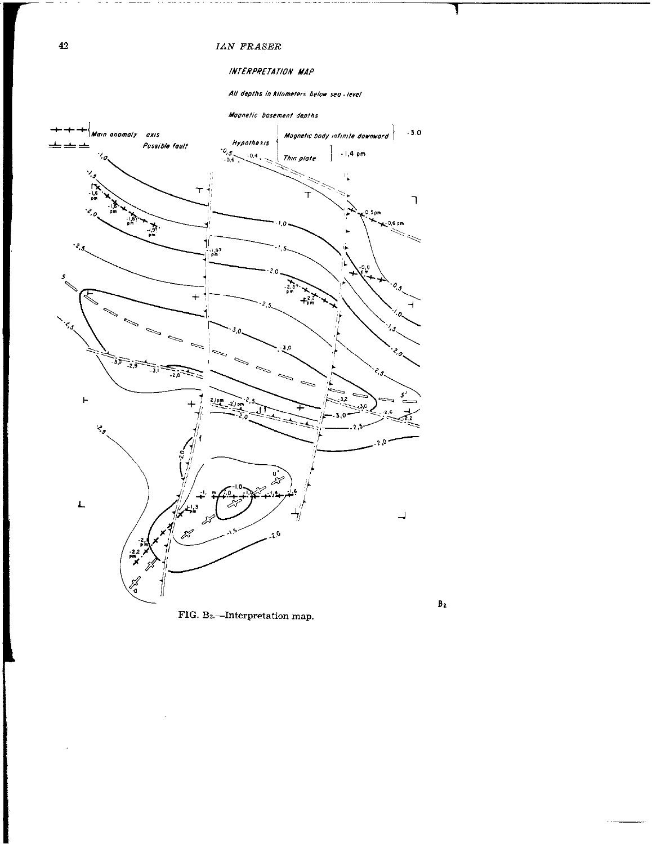### $\it{IAN}$   $\it{FRASER}$

## INTERPRETATION MAP

All depths in kilometers below sea-level



 $\mathbf{B}_2$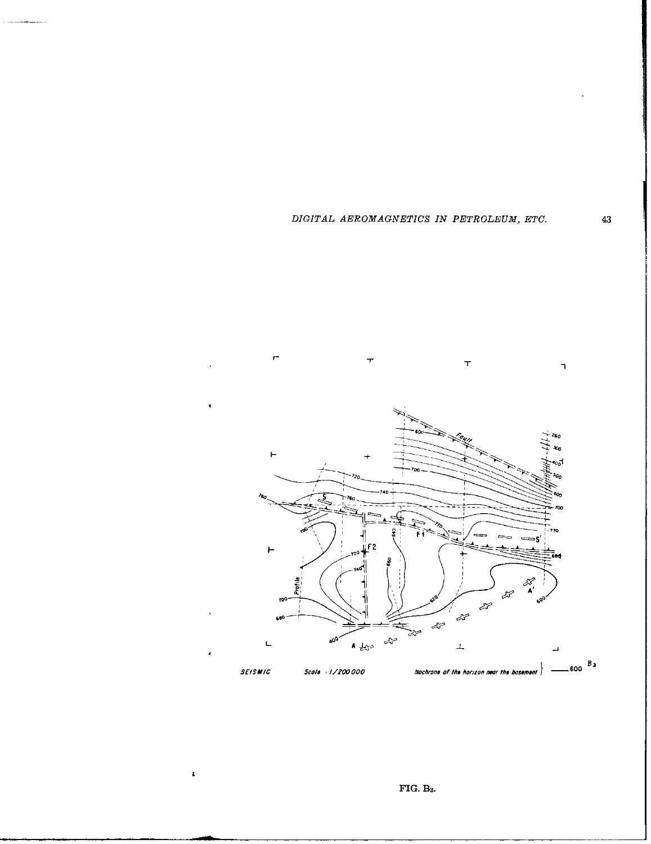

 $\bar{\mathbf{z}}$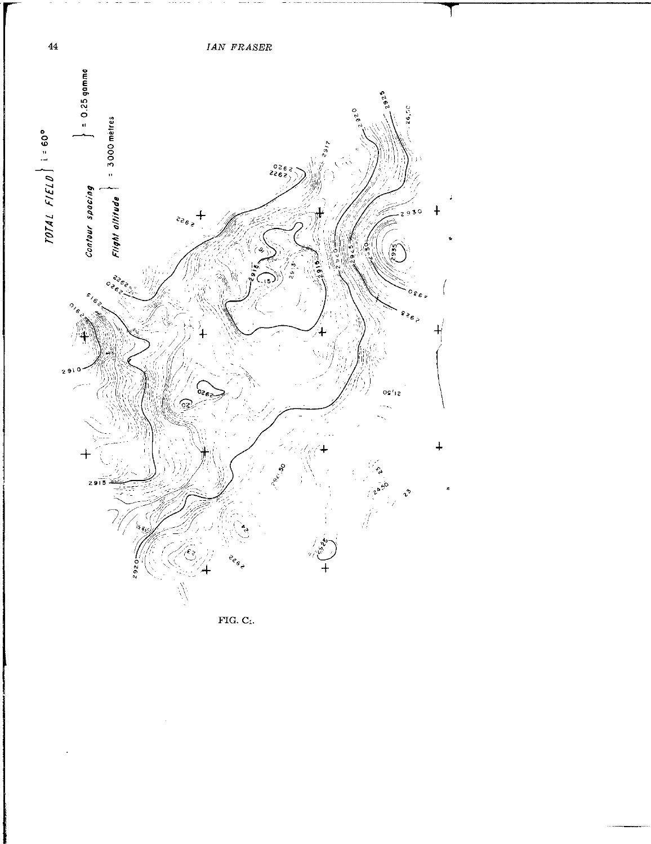